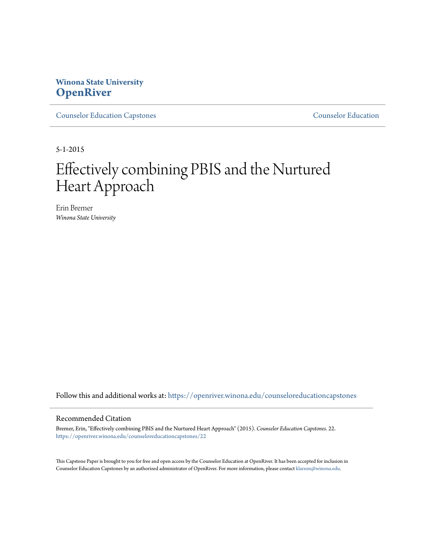# **Winona State University [OpenRiver](https://openriver.winona.edu?utm_source=openriver.winona.edu%2Fcounseloreducationcapstones%2F22&utm_medium=PDF&utm_campaign=PDFCoverPages)**

[Counselor Education Capstones](https://openriver.winona.edu/counseloreducationcapstones?utm_source=openriver.winona.edu%2Fcounseloreducationcapstones%2F22&utm_medium=PDF&utm_campaign=PDFCoverPages) [Counselor Education](https://openriver.winona.edu/counseloreducation?utm_source=openriver.winona.edu%2Fcounseloreducationcapstones%2F22&utm_medium=PDF&utm_campaign=PDFCoverPages)

5-1-2015

# Effectively combining PBIS and the Nurtured Heart Approach

Erin Bremer *Winona State University*

Follow this and additional works at: [https://openriver.winona.edu/counseloreducationcapstones](https://openriver.winona.edu/counseloreducationcapstones?utm_source=openriver.winona.edu%2Fcounseloreducationcapstones%2F22&utm_medium=PDF&utm_campaign=PDFCoverPages)

#### Recommended Citation

Bremer, Erin, "Effectively combining PBIS and the Nurtured Heart Approach" (2015). *Counselor Education Capstones*. 22. [https://openriver.winona.edu/counseloreducationcapstones/22](https://openriver.winona.edu/counseloreducationcapstones/22?utm_source=openriver.winona.edu%2Fcounseloreducationcapstones%2F22&utm_medium=PDF&utm_campaign=PDFCoverPages)

This Capstone Paper is brought to you for free and open access by the Counselor Education at OpenRiver. It has been accepted for inclusion in Counselor Education Capstones by an authorized administrator of OpenRiver. For more information, please contact [klarson@winona.edu](mailto:klarson@winona.edu).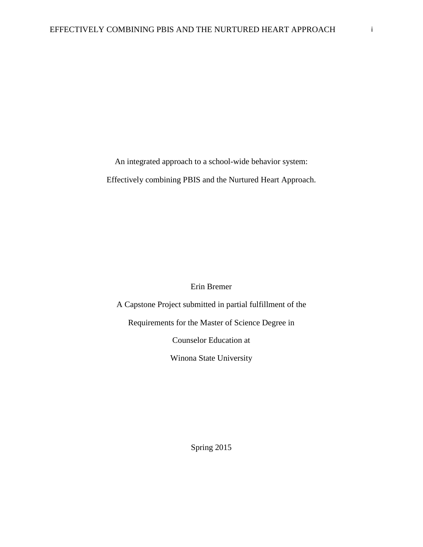An integrated approach to a school-wide behavior system:

Effectively combining PBIS and the Nurtured Heart Approach.

Erin Bremer

A Capstone Project submitted in partial fulfillment of the Requirements for the Master of Science Degree in Counselor Education at Winona State University

Spring 2015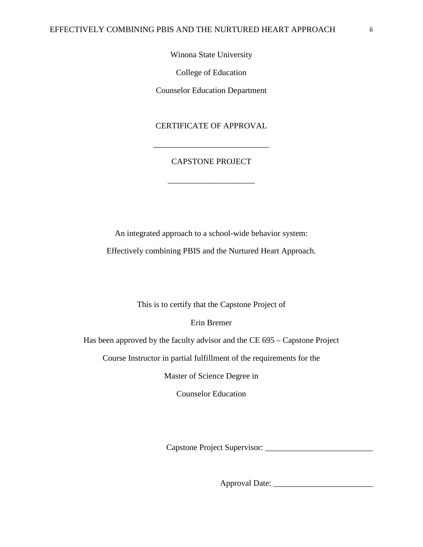Winona State University

College of Education

Counselor Education Department

CERTIFICATE OF APPROVAL

# CAPSTONE PROJECT

\_\_\_\_\_\_\_\_\_\_\_\_\_\_\_\_\_\_\_\_\_

\_\_\_\_\_\_\_\_\_\_\_\_\_\_\_\_\_\_\_\_\_\_\_\_\_\_\_\_

An integrated approach to a school-wide behavior system:

Effectively combining PBIS and the Nurtured Heart Approach.

This is to certify that the Capstone Project of

Erin Bremer

Has been approved by the faculty advisor and the CE 695 – Capstone Project

Course Instructor in partial fulfillment of the requirements for the

Master of Science Degree in

Counselor Education

Capstone Project Supervisor: \_\_\_\_\_\_\_\_\_\_\_\_\_\_\_\_\_\_\_\_\_\_\_\_\_\_

Approval Date: \_\_\_\_\_\_\_\_\_\_\_\_\_\_\_\_\_\_\_\_\_\_\_\_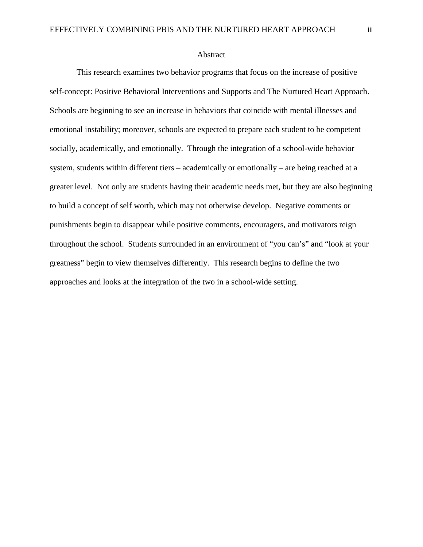#### Abstract

This research examines two behavior programs that focus on the increase of positive self-concept: Positive Behavioral Interventions and Supports and The Nurtured Heart Approach. Schools are beginning to see an increase in behaviors that coincide with mental illnesses and emotional instability; moreover, schools are expected to prepare each student to be competent socially, academically, and emotionally. Through the integration of a school-wide behavior system, students within different tiers – academically or emotionally – are being reached at a greater level. Not only are students having their academic needs met, but they are also beginning to build a concept of self worth, which may not otherwise develop. Negative comments or punishments begin to disappear while positive comments, encouragers, and motivators reign throughout the school. Students surrounded in an environment of "you can's" and "look at your greatness" begin to view themselves differently. This research begins to define the two approaches and looks at the integration of the two in a school-wide setting.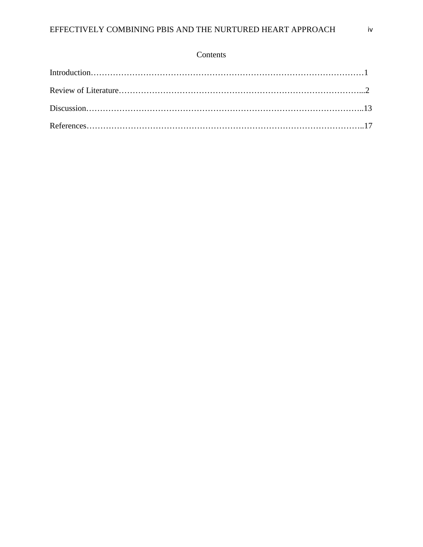# Contents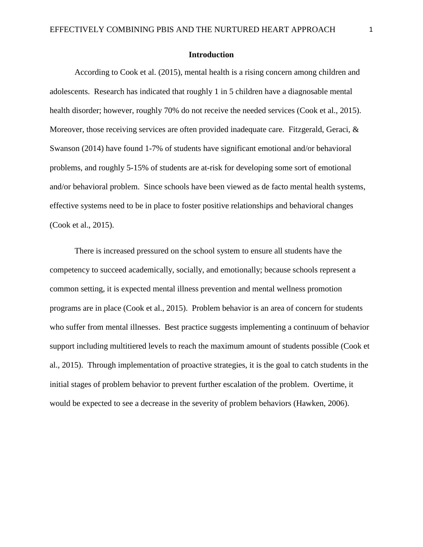## **Introduction**

According to Cook et al. (2015), mental health is a rising concern among children and adolescents. Research has indicated that roughly 1 in 5 children have a diagnosable mental health disorder; however, roughly 70% do not receive the needed services (Cook et al., 2015). Moreover, those receiving services are often provided inadequate care. Fitzgerald, Geraci, & Swanson (2014) have found 1-7% of students have significant emotional and/or behavioral problems, and roughly 5-15% of students are at-risk for developing some sort of emotional and/or behavioral problem. Since schools have been viewed as de facto mental health systems, effective systems need to be in place to foster positive relationships and behavioral changes (Cook et al., 2015).

There is increased pressured on the school system to ensure all students have the competency to succeed academically, socially, and emotionally; because schools represent a common setting, it is expected mental illness prevention and mental wellness promotion programs are in place (Cook et al., 2015). Problem behavior is an area of concern for students who suffer from mental illnesses. Best practice suggests implementing a continuum of behavior support including multitiered levels to reach the maximum amount of students possible (Cook et al., 2015). Through implementation of proactive strategies, it is the goal to catch students in the initial stages of problem behavior to prevent further escalation of the problem. Overtime, it would be expected to see a decrease in the severity of problem behaviors (Hawken, 2006).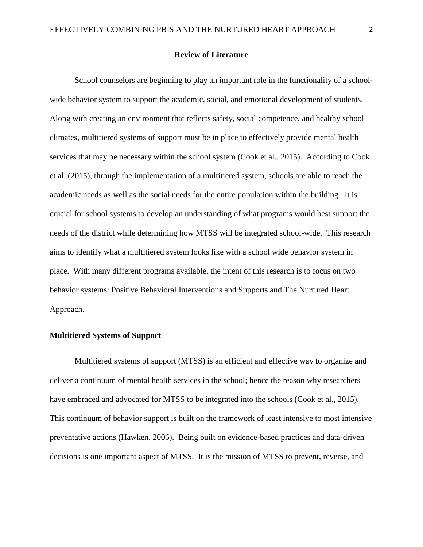#### **Review of Literature**

School counselors are beginning to play an important role in the functionality of a schoolwide behavior system to support the academic, social, and emotional development of students. Along with creating an environment that reflects safety, social competence, and healthy school climates, multitiered systems of support must be in place to effectively provide mental health services that may be necessary within the school system (Cook et al., 2015). According to Cook et al. (2015), through the implementation of a multitiered system, schools are able to reach the academic needs as well as the social needs for the entire population within the building. It is crucial for school systems to develop an understanding of what programs would best support the needs of the district while determining how MTSS will be integrated school-wide. This research aims to identify what a multitiered system looks like with a school wide behavior system in place. With many different programs available, the intent of this research is to focus on two behavior systems: Positive Behavioral Interventions and Supports and The Nurtured Heart Approach.

# **Multitiered Systems of Support**

Multitiered systems of support (MTSS) is an efficient and effective way to organize and deliver a continuum of mental health services in the school; hence the reason why researchers have embraced and advocated for MTSS to be integrated into the schools (Cook et al., 2015). This continuum of behavior support is built on the framework of least intensive to most intensive preventative actions (Hawken, 2006). Being built on evidence-based practices and data-driven decisions is one important aspect of MTSS. It is the mission of MTSS to prevent, reverse, and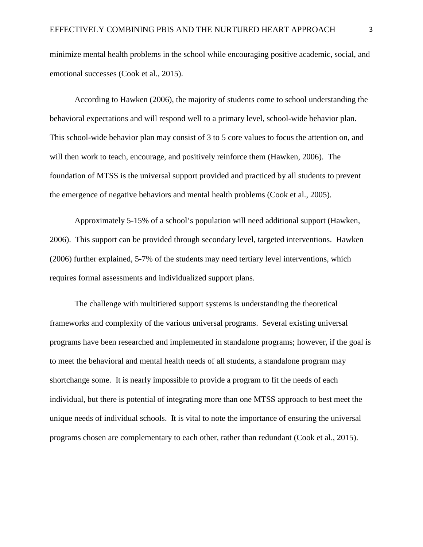minimize mental health problems in the school while encouraging positive academic, social, and emotional successes (Cook et al., 2015).

According to Hawken (2006), the majority of students come to school understanding the behavioral expectations and will respond well to a primary level, school-wide behavior plan. This school-wide behavior plan may consist of 3 to 5 core values to focus the attention on, and will then work to teach, encourage, and positively reinforce them (Hawken, 2006). The foundation of MTSS is the universal support provided and practiced by all students to prevent the emergence of negative behaviors and mental health problems (Cook et al., 2005).

Approximately 5-15% of a school's population will need additional support (Hawken, 2006). This support can be provided through secondary level, targeted interventions. Hawken (2006) further explained, 5-7% of the students may need tertiary level interventions, which requires formal assessments and individualized support plans.

The challenge with multitiered support systems is understanding the theoretical frameworks and complexity of the various universal programs. Several existing universal programs have been researched and implemented in standalone programs; however, if the goal is to meet the behavioral and mental health needs of all students, a standalone program may shortchange some. It is nearly impossible to provide a program to fit the needs of each individual, but there is potential of integrating more than one MTSS approach to best meet the unique needs of individual schools. It is vital to note the importance of ensuring the universal programs chosen are complementary to each other, rather than redundant (Cook et al., 2015).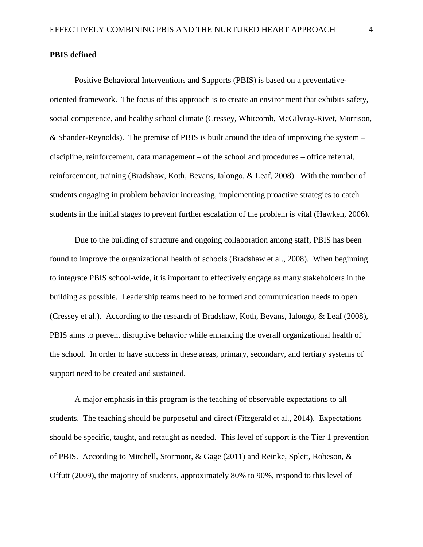#### **PBIS defined**

Positive Behavioral Interventions and Supports (PBIS) is based on a preventativeoriented framework. The focus of this approach is to create an environment that exhibits safety, social competence, and healthy school climate (Cressey, Whitcomb, McGilvray-Rivet, Morrison, & Shander-Reynolds). The premise of PBIS is built around the idea of improving the system – discipline, reinforcement, data management – of the school and procedures – office referral, reinforcement, training (Bradshaw, Koth, Bevans, Ialongo, & Leaf, 2008). With the number of students engaging in problem behavior increasing, implementing proactive strategies to catch students in the initial stages to prevent further escalation of the problem is vital (Hawken, 2006).

Due to the building of structure and ongoing collaboration among staff, PBIS has been found to improve the organizational health of schools (Bradshaw et al., 2008). When beginning to integrate PBIS school-wide, it is important to effectively engage as many stakeholders in the building as possible. Leadership teams need to be formed and communication needs to open (Cressey et al.). According to the research of Bradshaw, Koth, Bevans, Ialongo, & Leaf (2008), PBIS aims to prevent disruptive behavior while enhancing the overall organizational health of the school. In order to have success in these areas, primary, secondary, and tertiary systems of support need to be created and sustained.

A major emphasis in this program is the teaching of observable expectations to all students. The teaching should be purposeful and direct (Fitzgerald et al., 2014). Expectations should be specific, taught, and retaught as needed. This level of support is the Tier 1 prevention of PBIS. According to Mitchell, Stormont, & Gage (2011) and Reinke, Splett, Robeson, & Offutt (2009), the majority of students, approximately 80% to 90%, respond to this level of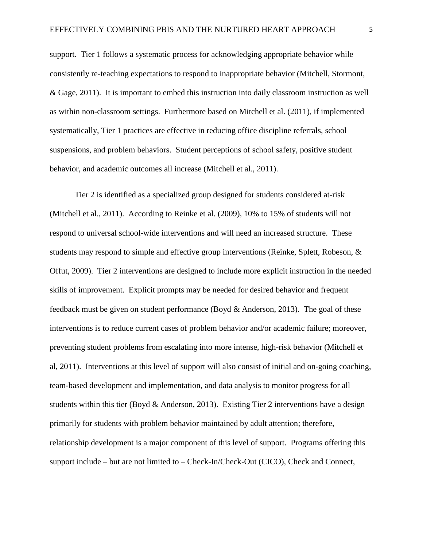support. Tier 1 follows a systematic process for acknowledging appropriate behavior while consistently re-teaching expectations to respond to inappropriate behavior (Mitchell, Stormont, & Gage, 2011). It is important to embed this instruction into daily classroom instruction as well as within non-classroom settings. Furthermore based on Mitchell et al. (2011), if implemented systematically, Tier 1 practices are effective in reducing office discipline referrals, school suspensions, and problem behaviors. Student perceptions of school safety, positive student behavior, and academic outcomes all increase (Mitchell et al., 2011).

Tier 2 is identified as a specialized group designed for students considered at-risk (Mitchell et al., 2011). According to Reinke et al. (2009), 10% to 15% of students will not respond to universal school-wide interventions and will need an increased structure. These students may respond to simple and effective group interventions (Reinke, Splett, Robeson, & Offut, 2009). Tier 2 interventions are designed to include more explicit instruction in the needed skills of improvement. Explicit prompts may be needed for desired behavior and frequent feedback must be given on student performance (Boyd & Anderson, 2013). The goal of these interventions is to reduce current cases of problem behavior and/or academic failure; moreover, preventing student problems from escalating into more intense, high-risk behavior (Mitchell et al, 2011). Interventions at this level of support will also consist of initial and on-going coaching, team-based development and implementation, and data analysis to monitor progress for all students within this tier (Boyd & Anderson, 2013). Existing Tier 2 interventions have a design primarily for students with problem behavior maintained by adult attention; therefore, relationship development is a major component of this level of support. Programs offering this support include – but are not limited to – Check-In/Check-Out (CICO), Check and Connect,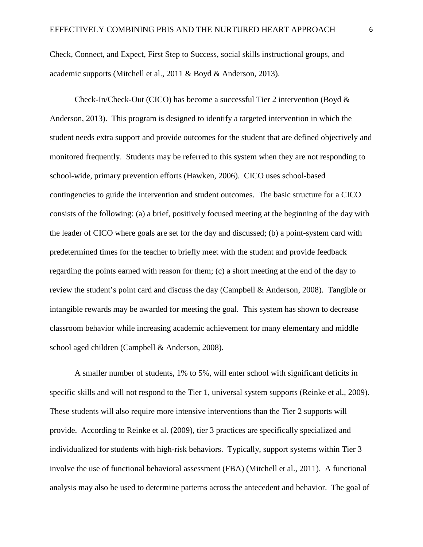Check, Connect, and Expect, First Step to Success, social skills instructional groups, and academic supports (Mitchell et al., 2011 & Boyd & Anderson, 2013).

Check-In/Check-Out (CICO) has become a successful Tier 2 intervention (Boyd & Anderson, 2013). This program is designed to identify a targeted intervention in which the student needs extra support and provide outcomes for the student that are defined objectively and monitored frequently. Students may be referred to this system when they are not responding to school-wide, primary prevention efforts (Hawken, 2006). CICO uses school-based contingencies to guide the intervention and student outcomes. The basic structure for a CICO consists of the following: (a) a brief, positively focused meeting at the beginning of the day with the leader of CICO where goals are set for the day and discussed; (b) a point-system card with predetermined times for the teacher to briefly meet with the student and provide feedback regarding the points earned with reason for them; (c) a short meeting at the end of the day to review the student's point card and discuss the day (Campbell & Anderson, 2008). Tangible or intangible rewards may be awarded for meeting the goal. This system has shown to decrease classroom behavior while increasing academic achievement for many elementary and middle school aged children (Campbell & Anderson, 2008).

A smaller number of students, 1% to 5%, will enter school with significant deficits in specific skills and will not respond to the Tier 1, universal system supports (Reinke et al., 2009). These students will also require more intensive interventions than the Tier 2 supports will provide. According to Reinke et al. (2009), tier 3 practices are specifically specialized and individualized for students with high-risk behaviors. Typically, support systems within Tier 3 involve the use of functional behavioral assessment (FBA) (Mitchell et al., 2011). A functional analysis may also be used to determine patterns across the antecedent and behavior. The goal of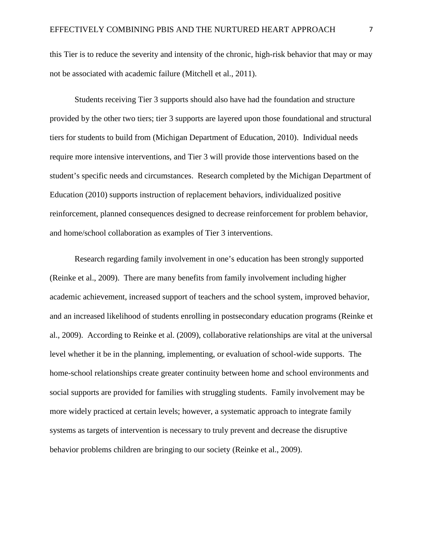this Tier is to reduce the severity and intensity of the chronic, high-risk behavior that may or may not be associated with academic failure (Mitchell et al., 2011).

Students receiving Tier 3 supports should also have had the foundation and structure provided by the other two tiers; tier 3 supports are layered upon those foundational and structural tiers for students to build from (Michigan Department of Education, 2010). Individual needs require more intensive interventions, and Tier 3 will provide those interventions based on the student's specific needs and circumstances. Research completed by the Michigan Department of Education (2010) supports instruction of replacement behaviors, individualized positive reinforcement, planned consequences designed to decrease reinforcement for problem behavior, and home/school collaboration as examples of Tier 3 interventions.

Research regarding family involvement in one's education has been strongly supported (Reinke et al., 2009). There are many benefits from family involvement including higher academic achievement, increased support of teachers and the school system, improved behavior, and an increased likelihood of students enrolling in postsecondary education programs (Reinke et al., 2009). According to Reinke et al. (2009), collaborative relationships are vital at the universal level whether it be in the planning, implementing, or evaluation of school-wide supports. The home-school relationships create greater continuity between home and school environments and social supports are provided for families with struggling students. Family involvement may be more widely practiced at certain levels; however, a systematic approach to integrate family systems as targets of intervention is necessary to truly prevent and decrease the disruptive behavior problems children are bringing to our society (Reinke et al., 2009).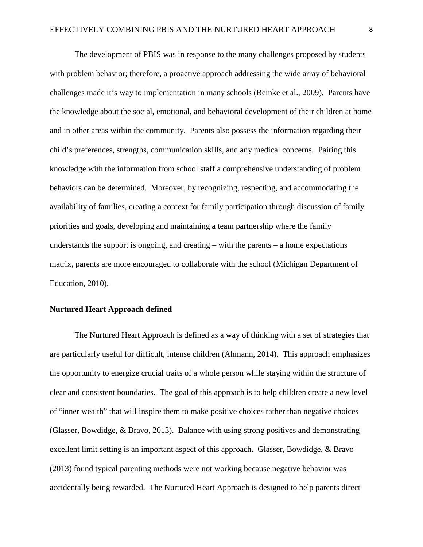The development of PBIS was in response to the many challenges proposed by students with problem behavior; therefore, a proactive approach addressing the wide array of behavioral challenges made it's way to implementation in many schools (Reinke et al., 2009). Parents have the knowledge about the social, emotional, and behavioral development of their children at home and in other areas within the community. Parents also possess the information regarding their child's preferences, strengths, communication skills, and any medical concerns. Pairing this knowledge with the information from school staff a comprehensive understanding of problem behaviors can be determined. Moreover, by recognizing, respecting, and accommodating the availability of families, creating a context for family participation through discussion of family priorities and goals, developing and maintaining a team partnership where the family understands the support is ongoing, and creating  $-$  with the parents  $-$  a home expectations matrix, parents are more encouraged to collaborate with the school (Michigan Department of Education, 2010).

#### **Nurtured Heart Approach defined**

The Nurtured Heart Approach is defined as a way of thinking with a set of strategies that are particularly useful for difficult, intense children (Ahmann, 2014). This approach emphasizes the opportunity to energize crucial traits of a whole person while staying within the structure of clear and consistent boundaries. The goal of this approach is to help children create a new level of "inner wealth" that will inspire them to make positive choices rather than negative choices (Glasser, Bowdidge, & Bravo, 2013). Balance with using strong positives and demonstrating excellent limit setting is an important aspect of this approach. Glasser, Bowdidge, & Bravo (2013) found typical parenting methods were not working because negative behavior was accidentally being rewarded. The Nurtured Heart Approach is designed to help parents direct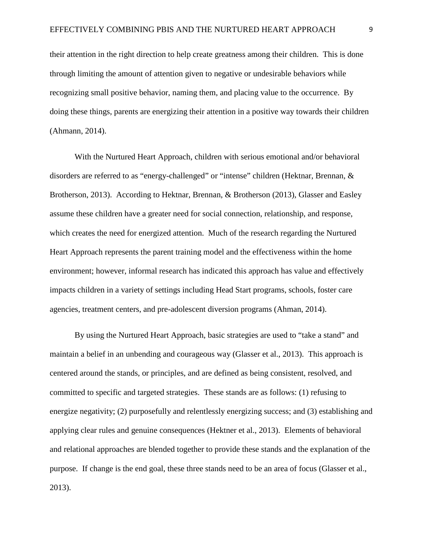their attention in the right direction to help create greatness among their children. This is done through limiting the amount of attention given to negative or undesirable behaviors while recognizing small positive behavior, naming them, and placing value to the occurrence. By doing these things, parents are energizing their attention in a positive way towards their children (Ahmann, 2014).

With the Nurtured Heart Approach, children with serious emotional and/or behavioral disorders are referred to as "energy-challenged" or "intense" children (Hektnar, Brennan, & Brotherson, 2013). According to Hektnar, Brennan, & Brotherson (2013), Glasser and Easley assume these children have a greater need for social connection, relationship, and response, which creates the need for energized attention. Much of the research regarding the Nurtured Heart Approach represents the parent training model and the effectiveness within the home environment; however, informal research has indicated this approach has value and effectively impacts children in a variety of settings including Head Start programs, schools, foster care agencies, treatment centers, and pre-adolescent diversion programs (Ahman, 2014).

By using the Nurtured Heart Approach, basic strategies are used to "take a stand" and maintain a belief in an unbending and courageous way (Glasser et al., 2013). This approach is centered around the stands, or principles, and are defined as being consistent, resolved, and committed to specific and targeted strategies. These stands are as follows: (1) refusing to energize negativity; (2) purposefully and relentlessly energizing success; and (3) establishing and applying clear rules and genuine consequences (Hektner et al., 2013). Elements of behavioral and relational approaches are blended together to provide these stands and the explanation of the purpose. If change is the end goal, these three stands need to be an area of focus (Glasser et al., 2013).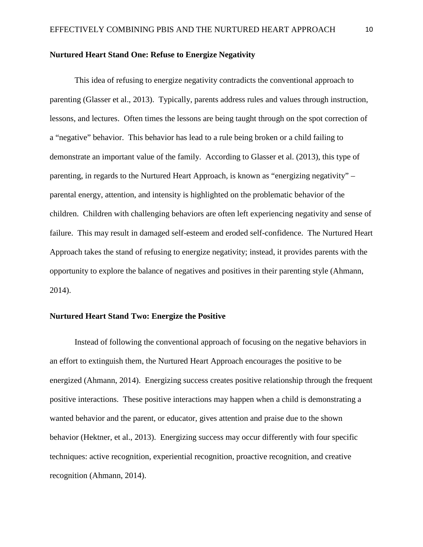## **Nurtured Heart Stand One: Refuse to Energize Negativity**

This idea of refusing to energize negativity contradicts the conventional approach to parenting (Glasser et al., 2013). Typically, parents address rules and values through instruction, lessons, and lectures. Often times the lessons are being taught through on the spot correction of a "negative" behavior. This behavior has lead to a rule being broken or a child failing to demonstrate an important value of the family. According to Glasser et al. (2013), this type of parenting, in regards to the Nurtured Heart Approach, is known as "energizing negativity" – parental energy, attention, and intensity is highlighted on the problematic behavior of the children. Children with challenging behaviors are often left experiencing negativity and sense of failure. This may result in damaged self-esteem and eroded self-confidence. The Nurtured Heart Approach takes the stand of refusing to energize negativity; instead, it provides parents with the opportunity to explore the balance of negatives and positives in their parenting style (Ahmann, 2014).

# **Nurtured Heart Stand Two: Energize the Positive**

Instead of following the conventional approach of focusing on the negative behaviors in an effort to extinguish them, the Nurtured Heart Approach encourages the positive to be energized (Ahmann, 2014). Energizing success creates positive relationship through the frequent positive interactions. These positive interactions may happen when a child is demonstrating a wanted behavior and the parent, or educator, gives attention and praise due to the shown behavior (Hektner, et al., 2013). Energizing success may occur differently with four specific techniques: active recognition, experiential recognition, proactive recognition, and creative recognition (Ahmann, 2014).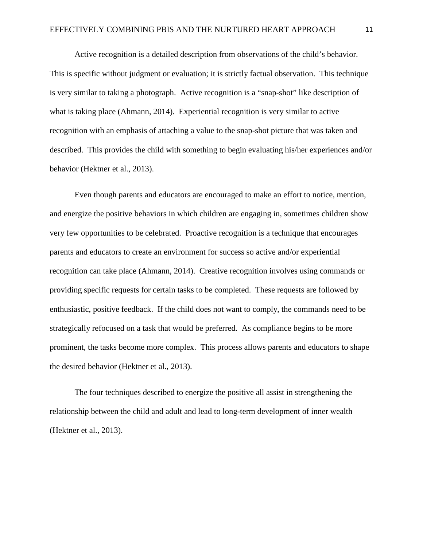Active recognition is a detailed description from observations of the child's behavior. This is specific without judgment or evaluation; it is strictly factual observation. This technique is very similar to taking a photograph. Active recognition is a "snap-shot" like description of what is taking place (Ahmann, 2014). Experiential recognition is very similar to active recognition with an emphasis of attaching a value to the snap-shot picture that was taken and described. This provides the child with something to begin evaluating his/her experiences and/or behavior (Hektner et al., 2013).

Even though parents and educators are encouraged to make an effort to notice, mention, and energize the positive behaviors in which children are engaging in, sometimes children show very few opportunities to be celebrated. Proactive recognition is a technique that encourages parents and educators to create an environment for success so active and/or experiential recognition can take place (Ahmann, 2014). Creative recognition involves using commands or providing specific requests for certain tasks to be completed. These requests are followed by enthusiastic, positive feedback. If the child does not want to comply, the commands need to be strategically refocused on a task that would be preferred. As compliance begins to be more prominent, the tasks become more complex. This process allows parents and educators to shape the desired behavior (Hektner et al., 2013).

The four techniques described to energize the positive all assist in strengthening the relationship between the child and adult and lead to long-term development of inner wealth (Hektner et al., 2013).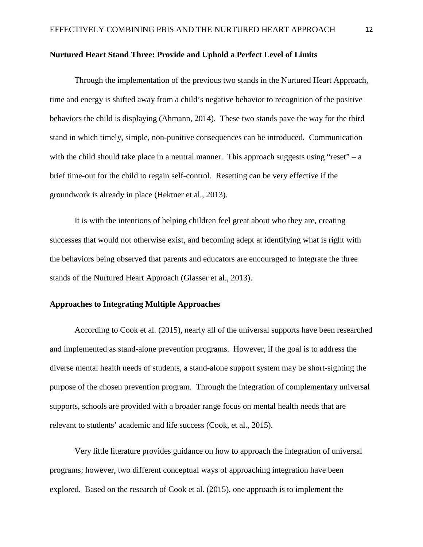#### **Nurtured Heart Stand Three: Provide and Uphold a Perfect Level of Limits**

Through the implementation of the previous two stands in the Nurtured Heart Approach, time and energy is shifted away from a child's negative behavior to recognition of the positive behaviors the child is displaying (Ahmann, 2014). These two stands pave the way for the third stand in which timely, simple, non-punitive consequences can be introduced. Communication with the child should take place in a neutral manner. This approach suggests using "reset" – a brief time-out for the child to regain self-control. Resetting can be very effective if the groundwork is already in place (Hektner et al., 2013).

It is with the intentions of helping children feel great about who they are, creating successes that would not otherwise exist, and becoming adept at identifying what is right with the behaviors being observed that parents and educators are encouraged to integrate the three stands of the Nurtured Heart Approach (Glasser et al., 2013).

# **Approaches to Integrating Multiple Approaches**

According to Cook et al. (2015), nearly all of the universal supports have been researched and implemented as stand-alone prevention programs. However, if the goal is to address the diverse mental health needs of students, a stand-alone support system may be short-sighting the purpose of the chosen prevention program. Through the integration of complementary universal supports, schools are provided with a broader range focus on mental health needs that are relevant to students' academic and life success (Cook, et al., 2015).

Very little literature provides guidance on how to approach the integration of universal programs; however, two different conceptual ways of approaching integration have been explored. Based on the research of Cook et al. (2015), one approach is to implement the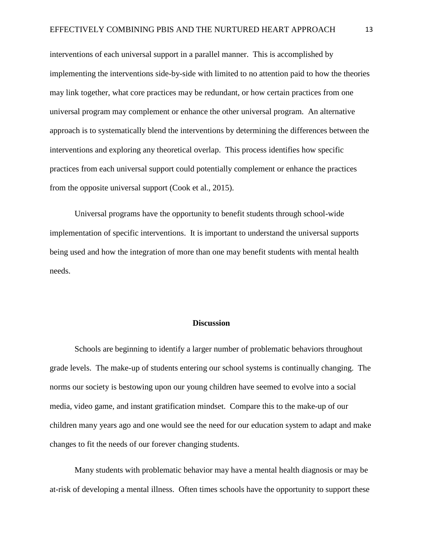interventions of each universal support in a parallel manner. This is accomplished by implementing the interventions side-by-side with limited to no attention paid to how the theories may link together, what core practices may be redundant, or how certain practices from one universal program may complement or enhance the other universal program. An alternative approach is to systematically blend the interventions by determining the differences between the interventions and exploring any theoretical overlap. This process identifies how specific practices from each universal support could potentially complement or enhance the practices from the opposite universal support (Cook et al., 2015).

Universal programs have the opportunity to benefit students through school-wide implementation of specific interventions. It is important to understand the universal supports being used and how the integration of more than one may benefit students with mental health needs.

# **Discussion**

Schools are beginning to identify a larger number of problematic behaviors throughout grade levels. The make-up of students entering our school systems is continually changing. The norms our society is bestowing upon our young children have seemed to evolve into a social media, video game, and instant gratification mindset. Compare this to the make-up of our children many years ago and one would see the need for our education system to adapt and make changes to fit the needs of our forever changing students.

Many students with problematic behavior may have a mental health diagnosis or may be at-risk of developing a mental illness. Often times schools have the opportunity to support these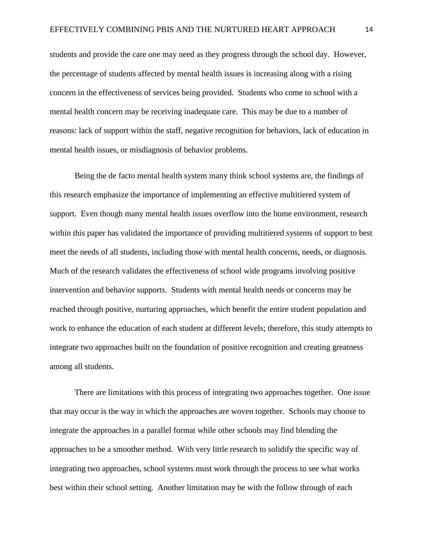students and provide the care one may need as they progress through the school day. However, the percentage of students affected by mental health issues is increasing along with a rising concern in the effectiveness of services being provided. Students who come to school with a mental health concern may be receiving inadequate care. This may be due to a number of reasons: lack of support within the staff, negative recognition for behaviors, lack of education in mental health issues, or misdiagnosis of behavior problems.

Being the de facto mental health system many think school systems are, the findings of this research emphasize the importance of implementing an effective multitiered system of support. Even though many mental health issues overflow into the home environment, research within this paper has validated the importance of providing multitiered systems of support to best meet the needs of all students, including those with mental health concerns, needs, or diagnosis. Much of the research validates the effectiveness of school wide programs involving positive intervention and behavior supports. Students with mental health needs or concerns may be reached through positive, nurturing approaches, which benefit the entire student population and work to enhance the education of each student at different levels; therefore, this study attempts to integrate two approaches built on the foundation of positive recognition and creating greatness among all students.

There are limitations with this process of integrating two approaches together. One issue that may occur is the way in which the approaches are woven together. Schools may choose to integrate the approaches in a parallel format while other schools may find blending the approaches to be a smoother method. With very little research to solidify the specific way of integrating two approaches, school systems must work through the process to see what works best within their school setting. Another limitation may be with the follow through of each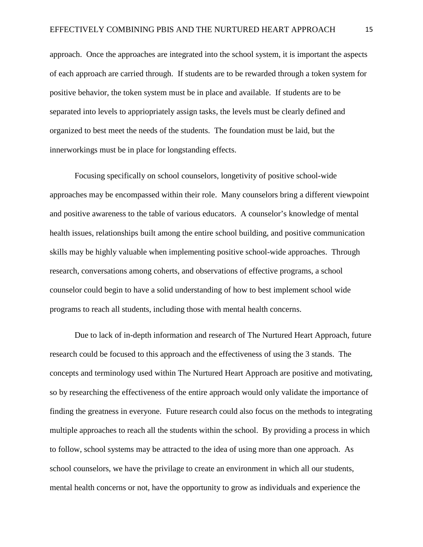approach. Once the approaches are integrated into the school system, it is important the aspects of each approach are carried through. If students are to be rewarded through a token system for positive behavior, the token system must be in place and available. If students are to be separated into levels to appriopriately assign tasks, the levels must be clearly defined and organized to best meet the needs of the students. The foundation must be laid, but the innerworkings must be in place for longstanding effects.

Focusing specifically on school counselors, longetivity of positive school-wide approaches may be encompassed within their role. Many counselors bring a different viewpoint and positive awareness to the table of various educators. A counselor's knowledge of mental health issues, relationships built among the entire school building, and positive communication skills may be highly valuable when implementing positive school-wide approaches. Through research, conversations among coherts, and observations of effective programs, a school counselor could begin to have a solid understanding of how to best implement school wide programs to reach all students, including those with mental health concerns.

Due to lack of in-depth information and research of The Nurtured Heart Approach, future research could be focused to this approach and the effectiveness of using the 3 stands. The concepts and terminology used within The Nurtured Heart Approach are positive and motivating, so by researching the effectiveness of the entire approach would only validate the importance of finding the greatness in everyone. Future research could also focus on the methods to integrating multiple approaches to reach all the students within the school. By providing a process in which to follow, school systems may be attracted to the idea of using more than one approach. As school counselors, we have the privilage to create an environment in which all our students, mental health concerns or not, have the opportunity to grow as individuals and experience the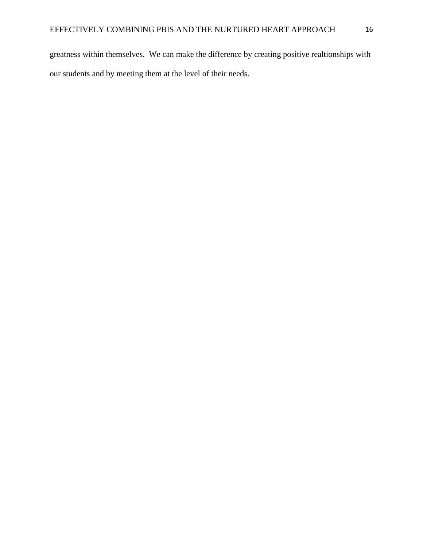greatness within themselves. We can make the difference by creating positive realtionships with our students and by meeting them at the level of their needs.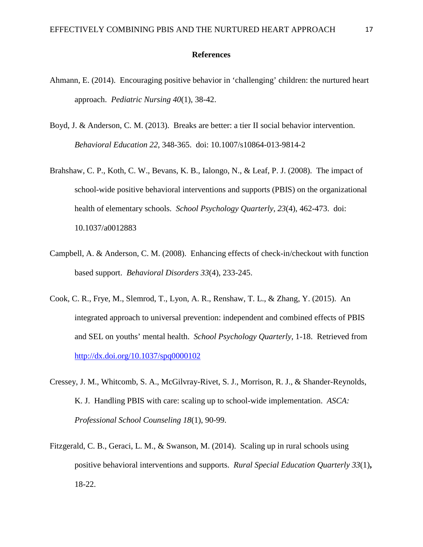#### **References**

- Ahmann, E. (2014). Encouraging positive behavior in 'challenging' children: the nurtured heart approach. *Pediatric Nursing 40*(1), 38-42.
- Boyd, J. & Anderson, C. M. (2013). Breaks are better: a tier II social behavior intervention. *Behavioral Education 22*, 348-365. doi: 10.1007/s10864-013-9814-2
- Brahshaw, C. P., Koth, C. W., Bevans, K. B., Ialongo, N., & Leaf, P. J. (2008). The impact of school-wide positive behavioral interventions and supports (PBIS) on the organizational health of elementary schools. *School Psychology Quarterly, 23*(4), 462-473. doi: 10.1037/a0012883
- Campbell, A. & Anderson, C. M. (2008). Enhancing effects of check-in/checkout with function based support. *Behavioral Disorders 33*(4), 233-245.
- Cook, C. R., Frye, M., Slemrod, T., Lyon, A. R., Renshaw, T. L., & Zhang, Y. (2015). An integrated approach to universal prevention: independent and combined effects of PBIS and SEL on youths' mental health. *School Psychology Quarterly,* 1-18. Retrieved from <http://dx.doi.org/10.1037/spq0000102>
- Cressey, J. M., Whitcomb, S. A., McGilvray-Rivet, S. J., Morrison, R. J., & Shander-Reynolds, K. J. Handling PBIS with care: scaling up to school-wide implementation. *ASCA: Professional School Counseling 18*(1), 90-99.
- Fitzgerald, C. B., Geraci, L. M., & Swanson, M. (2014). Scaling up in rural schools using positive behavioral interventions and supports. *Rural Special Education Quarterly 33*(1)**,** 18-22.